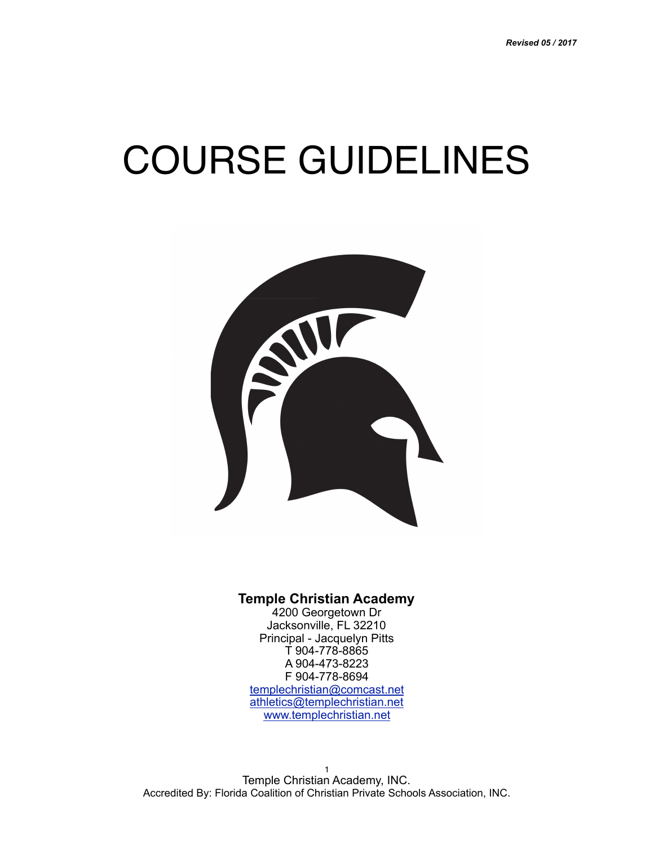# COURSE GUIDELINES



#### **Temple Christian Academy**

4200 Georgetown Dr Jacksonville, FL 32210 Principal - Jacquelyn Pitts T 904-778-8865 A 904-473-8223 F 904-778-8694 [templechristian@comcast.net](mailto:templechristian@comcast.net) [athletics@templechristian.net](mailto:athletics@templechristian.net) [www.templechristian.net](http://www.templechristian.net)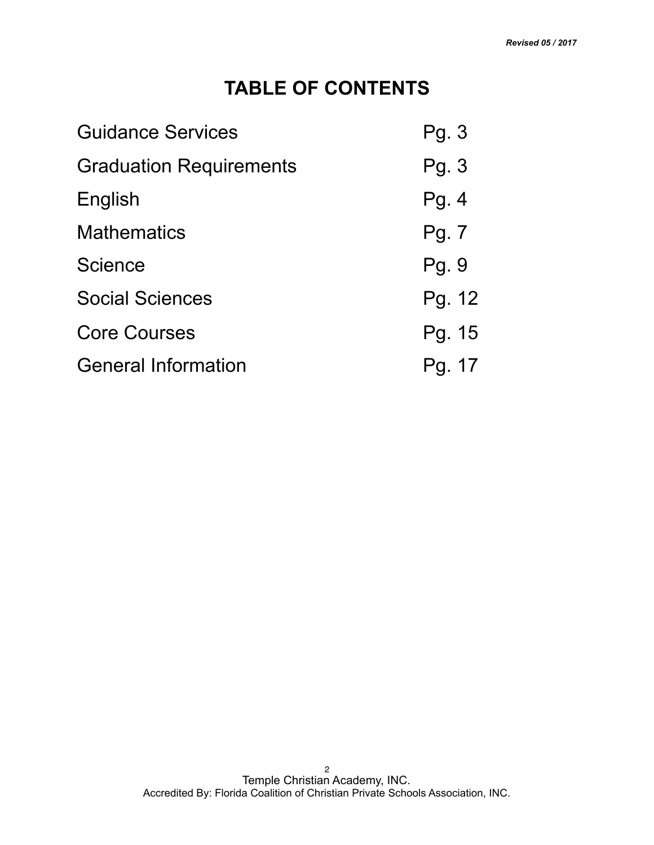## **TABLE OF CONTENTS**

| <b>Guidance Services</b>       | Pg. 3  |
|--------------------------------|--------|
| <b>Graduation Requirements</b> | Pg. 3  |
| English                        | Pg.4   |
| <b>Mathematics</b>             | Pg. 7  |
| <b>Science</b>                 | Pg. 9  |
| <b>Social Sciences</b>         | Pg. 12 |
| <b>Core Courses</b>            | Pg. 15 |
| <b>General Information</b>     | Pg. 17 |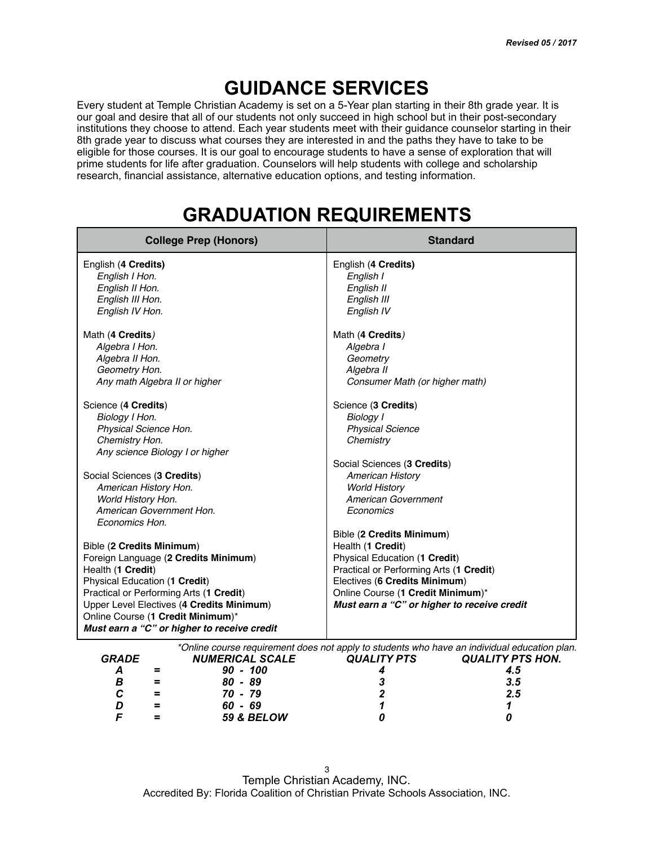#### **GUIDANCE SERVICES**

Every student at Temple Christian Academy is set on a 5-Year plan starting in their 8th grade year. It is our goal and desire that all of our students not only succeed in high school but in their post-secondary institutions they choose to attend. Each year students meet with their guidance counselor starting in their 8th grade year to discuss what courses they are interested in and the paths they have to take to be eligible for those courses. It is our goal to encourage students to have a sense of exploration that will prime students for life after graduation. Counselors will help students with college and scholarship research, financial assistance, alternative education options, and testing information.

| <b>College Prep (Honors)</b>                          | <b>Standard</b>                             |
|-------------------------------------------------------|---------------------------------------------|
| English (4 Credits)<br>English I Hon.                 | English (4 Credits)<br>English I            |
| English II Hon.                                       | English II                                  |
| English III Hon.                                      | English III                                 |
| English IV Hon.                                       | English IV                                  |
| Math (4 Credits)                                      | Math (4 Credits)                            |
| Algebra I Hon.                                        | Algebra I                                   |
| Algebra II Hon.                                       | Geometry                                    |
| Geometry Hon.                                         | Algebra II                                  |
| Any math Algebra II or higher                         | Consumer Math (or higher math)              |
| Science (4 Credits)                                   | Science (3 Credits)                         |
| Biology I Hon.                                        | <b>Biology I</b>                            |
| Physical Science Hon.                                 | <b>Physical Science</b>                     |
| Chemistry Hon.                                        | Chemistry                                   |
| Any science Biology I or higher                       |                                             |
|                                                       | Social Sciences (3 Credits)                 |
| Social Sciences (3 Credits)                           | <b>American History</b>                     |
| American History Hon.                                 | <b>World History</b>                        |
| <b>World History Hon.</b><br>American Government Hon. | American Government                         |
| Economics Hon.                                        | Economics                                   |
|                                                       | Bible (2 Credits Minimum)                   |
| Bible (2 Credits Minimum)                             | Health (1 Credit)                           |
| Foreign Language (2 Credits Minimum)                  | Physical Education (1 Credit)               |
| Health (1 Credit)                                     | Practical or Performing Arts (1 Credit)     |
| Physical Education (1 Credit)                         | Electives (6 Credits Minimum)               |
| Practical or Performing Arts (1 Credit)               | Online Course (1 Credit Minimum)*           |
| Upper Level Electives (4 Credits Minimum)             | Must earn a "C" or higher to receive credit |
| Online Course (1 Credit Minimum)*                     |                                             |
| Must earn a "C" or higher to receive credit           |                                             |

## **GRADUATION REQUIREMENTS**

|              |     | *Online course requirement does not apply to students who have an individual education plan. |                    |                         |
|--------------|-----|----------------------------------------------------------------------------------------------|--------------------|-------------------------|
| <b>GRADE</b> |     | <b>NUMERICAL SCALE</b>                                                                       | <b>QUALITY PTS</b> | <b>QUALITY PTS HON.</b> |
|              |     | $90 - 100$                                                                                   |                    |                         |
| В            |     | $80 - 89$                                                                                    |                    | 3.5                     |
|              | $=$ | 70 - 79                                                                                      |                    | 2.5                     |
|              |     | $60 - 69$                                                                                    |                    |                         |
|              |     | <b>59 &amp; BELOW</b>                                                                        |                    |                         |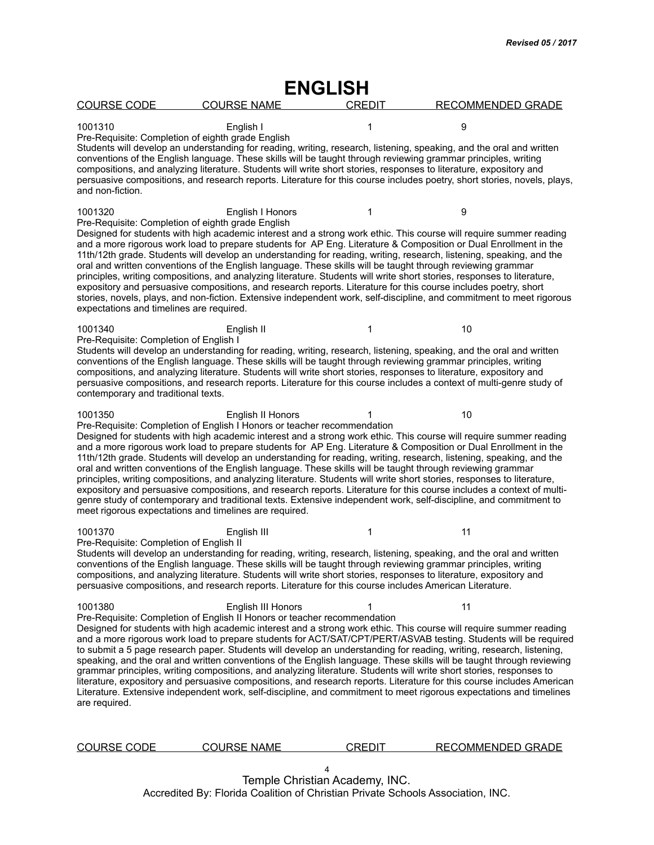| <b>ENGLISH</b>                                                                                                                                                                                                                                                                                                                                                                                                                                                                                                                                                                                                                                                                                                                                                                                                                                                                                                                                                                                                              |               |                          |
|-----------------------------------------------------------------------------------------------------------------------------------------------------------------------------------------------------------------------------------------------------------------------------------------------------------------------------------------------------------------------------------------------------------------------------------------------------------------------------------------------------------------------------------------------------------------------------------------------------------------------------------------------------------------------------------------------------------------------------------------------------------------------------------------------------------------------------------------------------------------------------------------------------------------------------------------------------------------------------------------------------------------------------|---------------|--------------------------|
| <b>COURSE CODE</b><br><b>COURSE NAME</b>                                                                                                                                                                                                                                                                                                                                                                                                                                                                                                                                                                                                                                                                                                                                                                                                                                                                                                                                                                                    | <b>CREDIT</b> | RECOMMENDED GRADE        |
| 1001310<br>English I<br>Pre-Requisite: Completion of eighth grade English<br>Students will develop an understanding for reading, writing, research, listening, speaking, and the oral and written<br>conventions of the English language. These skills will be taught through reviewing grammar principles, writing<br>compositions, and analyzing literature. Students will write short stories, responses to literature, expository and<br>persuasive compositions, and research reports. Literature for this course includes poetry, short stories, novels, plays,<br>and non-fiction.                                                                                                                                                                                                                                                                                                                                                                                                                                   | 1             | 9                        |
| 1001320<br>English I Honors<br>Pre-Requisite: Completion of eighth grade English<br>Designed for students with high academic interest and a strong work ethic. This course will require summer reading<br>and a more rigorous work load to prepare students for AP Eng. Literature & Composition or Dual Enrollment in the<br>11th/12th grade. Students will develop an understanding for reading, writing, research, listening, speaking, and the<br>oral and written conventions of the English language. These skills will be taught through reviewing grammar<br>principles, writing compositions, and analyzing literature. Students will write short stories, responses to literature,<br>expository and persuasive compositions, and research reports. Literature for this course includes poetry, short<br>stories, novels, plays, and non-fiction. Extensive independent work, self-discipline, and commitment to meet rigorous<br>expectations and timelines are required.                                        | 1             | 9                        |
| 1001340<br>English II<br>Pre-Requisite: Completion of English I<br>Students will develop an understanding for reading, writing, research, listening, speaking, and the oral and written<br>conventions of the English language. These skills will be taught through reviewing grammar principles, writing<br>compositions, and analyzing literature. Students will write short stories, responses to literature, expository and<br>persuasive compositions, and research reports. Literature for this course includes a context of multi-genre study of<br>contemporary and traditional texts.                                                                                                                                                                                                                                                                                                                                                                                                                              | 1             | 10                       |
| 1001350<br>English II Honors<br>Pre-Requisite: Completion of English I Honors or teacher recommendation<br>Designed for students with high academic interest and a strong work ethic. This course will require summer reading<br>and a more rigorous work load to prepare students for AP Eng. Literature & Composition or Dual Enrollment in the<br>11th/12th grade. Students will develop an understanding for reading, writing, research, listening, speaking, and the<br>oral and written conventions of the English language. These skills will be taught through reviewing grammar<br>principles, writing compositions, and analyzing literature. Students will write short stories, responses to literature,<br>expository and persuasive compositions, and research reports. Literature for this course includes a context of multi-<br>genre study of contemporary and traditional texts. Extensive independent work, self-discipline, and commitment to<br>meet rigorous expectations and timelines are required. |               | 10                       |
| 1001370<br>English III<br>Pre-Requisite: Completion of English II<br>Students will develop an understanding for reading, writing, research, listening, speaking, and the oral and written<br>conventions of the English language. These skills will be taught through reviewing grammar principles, writing<br>compositions, and analyzing literature. Students will write short stories, responses to literature, expository and<br>persuasive compositions, and research reports. Literature for this course includes American Literature.                                                                                                                                                                                                                                                                                                                                                                                                                                                                                | 1             | 11                       |
| 1001380<br>English III Honors<br>Pre-Requisite: Completion of English II Honors or teacher recommendation<br>Designed for students with high academic interest and a strong work ethic. This course will require summer reading<br>and a more rigorous work load to prepare students for ACT/SAT/CPT/PERT/ASVAB testing. Students will be required<br>to submit a 5 page research paper. Students will develop an understanding for reading, writing, research, listening,<br>speaking, and the oral and written conventions of the English language. These skills will be taught through reviewing<br>grammar principles, writing compositions, and analyzing literature. Students will write short stories, responses to<br>literature, expository and persuasive compositions, and research reports. Literature for this course includes American<br>Literature. Extensive independent work, self-discipline, and commitment to meet rigorous expectations and timelines<br>are required.                                |               | 11                       |
| <b>COURSE CODE</b><br><b>COURSE NAME</b>                                                                                                                                                                                                                                                                                                                                                                                                                                                                                                                                                                                                                                                                                                                                                                                                                                                                                                                                                                                    | <b>CREDIT</b> | <b>RECOMMENDED GRADE</b> |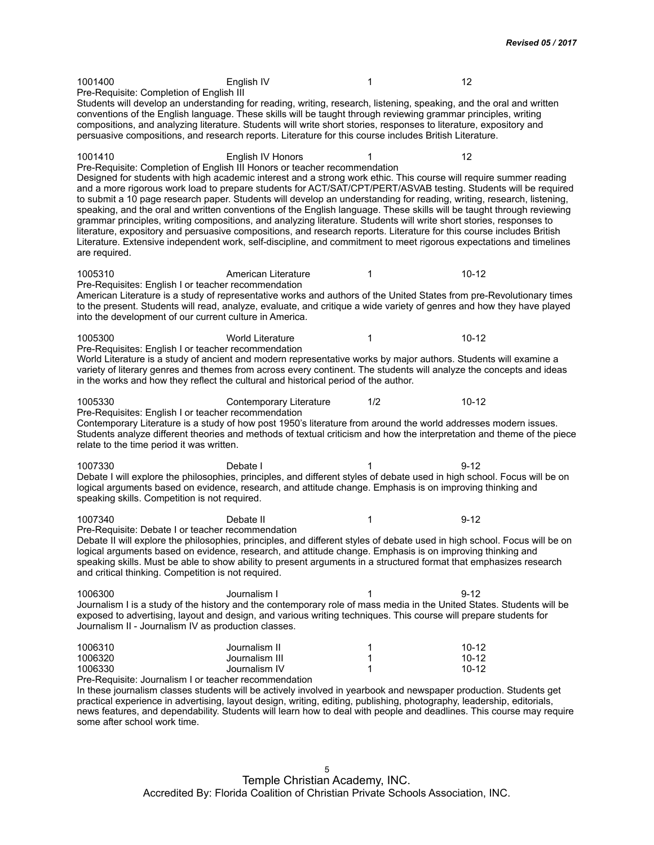1001400 English IV 1 12 Pre-Requisite: Completion of English III Students will develop an understanding for reading, writing, research, listening, speaking, and the oral and written conventions of the English language. These skills will be taught through reviewing grammar principles, writing compositions, and analyzing literature. Students will write short stories, responses to literature, expository and persuasive compositions, and research reports. Literature for this course includes British Literature. 1001410 English IV Honors 1 12 Pre-Requisite: Completion of English III Honors or teacher recommendation Designed for students with high academic interest and a strong work ethic. This course will require summer reading and a more rigorous work load to prepare students for ACT/SAT/CPT/PERT/ASVAB testing. Students will be required to submit a 10 page research paper. Students will develop an understanding for reading, writing, research, listening, speaking, and the oral and written conventions of the English language. These skills will be taught through reviewing grammar principles, writing compositions, and analyzing literature. Students will write short stories, responses to literature, expository and persuasive compositions, and research reports. Literature for this course includes British Literature. Extensive independent work, self-discipline, and commitment to meet rigorous expectations and timelines are required. 1005310 **American Literature** 1 1005310 10-12 Pre-Requisites: English I or teacher recommendation American Literature is a study of representative works and authors of the United States from pre-Revolutionary times to the present. Students will read, analyze, evaluate, and critique a wide variety of genres and how they have played into the development of our current culture in America. 1005300 **World Literature 1** 1005300 **10-12** Pre-Requisites: English I or teacher recommendation World Literature is a study of ancient and modern representative works by major authors. Students will examine a variety of literary genres and themes from across every continent. The students will analyze the concepts and ideas in the works and how they reflect the cultural and historical period of the author. 1005330 Contemporary Literature 1/2 10-12 Pre-Requisites: English I or teacher recommendation Contemporary Literature is a study of how post 1950's literature from around the world addresses modern issues. Students analyze different theories and methods of textual criticism and how the interpretation and theme of the piece relate to the time period it was written. 1007330 Debate I 1 9-12 Debate I will explore the philosophies, principles, and different styles of debate used in high school. Focus will be on logical arguments based on evidence, research, and attitude change. Emphasis is on improving thinking and speaking skills. Competition is not required. 1007340 Debate II 1 9-12 Pre-Requisite: Debate I or teacher recommendation Debate II will explore the philosophies, principles, and different styles of debate used in high school. Focus will be on logical arguments based on evidence, research, and attitude change. Emphasis is on improving thinking and speaking skills. Must be able to show ability to present arguments in a structured format that emphasizes research and critical thinking. Competition is not required. 1006300 Journalism I 1 9-12 Journalism I is a study of the history and the contemporary role of mass media in the United States. Students will be exposed to advertising, layout and design, and various writing techniques. This course will prepare students for Journalism II - Journalism IV as production classes. 1006310 Journalism II 1 10-12 1000 Journalism III 10-12<br>1001 10012 10012 10012 10012 1006330 Journalism IV 1 Pre-Requisite: Journalism I or teacher recommendation In these journalism classes students will be actively involved in yearbook and newspaper production. Students get practical experience in advertising, layout design, writing, editing, publishing, photography, leadership, editorials,

news features, and dependability. Students will learn how to deal with people and deadlines. This course may require some after school work time.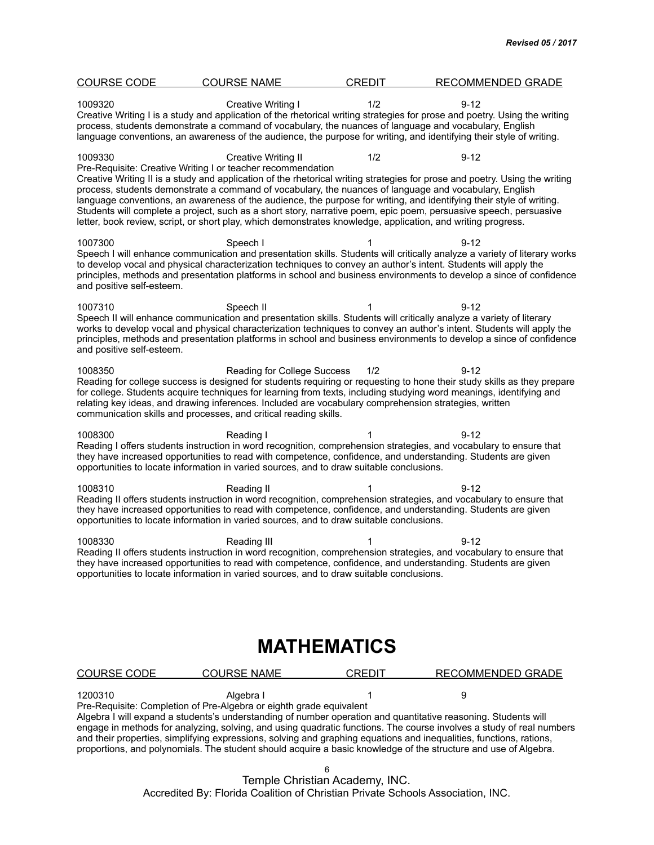| <b>COURSE CODE</b>                   | <b>COURSE NAME</b>                                                                                                                                                                                                                                                                                           | CREDIT | RECOMMENDED GRADE                                                                                                                                                                                                                                                                                                                                                                    |
|--------------------------------------|--------------------------------------------------------------------------------------------------------------------------------------------------------------------------------------------------------------------------------------------------------------------------------------------------------------|--------|--------------------------------------------------------------------------------------------------------------------------------------------------------------------------------------------------------------------------------------------------------------------------------------------------------------------------------------------------------------------------------------|
| 1009320                              | Creative Writing I<br>process, students demonstrate a command of vocabulary, the nuances of language and vocabulary, English                                                                                                                                                                                 | 1/2    | $9 - 12$<br>Creative Writing I is a study and application of the rhetorical writing strategies for prose and poetry. Using the writing<br>language conventions, an awareness of the audience, the purpose for writing, and identifying their style of writing.                                                                                                                       |
| 1009330                              | Creative Writing II<br>Pre-Requisite: Creative Writing I or teacher recommendation<br>process, students demonstrate a command of vocabulary, the nuances of language and vocabulary, English<br>letter, book review, script, or short play, which demonstrates knowledge, application, and writing progress. | 1/2    | $9 - 12$<br>Creative Writing II is a study and application of the rhetorical writing strategies for prose and poetry. Using the writing<br>language conventions, an awareness of the audience, the purpose for writing, and identifying their style of writing.<br>Students will complete a project, such as a short story, narrative poem, epic poem, persuasive speech, persuasive |
| 1007300<br>and positive self-esteem. | Speech I                                                                                                                                                                                                                                                                                                     | 1      | $9 - 12$<br>Speech I will enhance communication and presentation skills. Students will critically analyze a variety of literary works<br>to develop vocal and physical characterization techniques to convey an author's intent. Students will apply the<br>principles, methods and presentation platforms in school and business environments to develop a since of confidence      |
| 1007310<br>and positive self-esteem. | Speech II                                                                                                                                                                                                                                                                                                    | 1      | $9 - 12$<br>Speech II will enhance communication and presentation skills. Students will critically analyze a variety of literary<br>works to develop vocal and physical characterization techniques to convey an author's intent. Students will apply the<br>principles, methods and presentation platforms in school and business environments to develop a since of confidence     |
| 1008350                              | Reading for College Success<br>relating key ideas, and drawing inferences. Included are vocabulary comprehension strategies, written<br>communication skills and processes, and critical reading skills.                                                                                                     | 1/2    | $9 - 12$<br>Reading for college success is designed for students requiring or requesting to hone their study skills as they prepare<br>for college. Students acquire techniques for learning from texts, including studying word meanings, identifying and                                                                                                                           |
| 1008300                              | Reading I<br>opportunities to locate information in varied sources, and to draw suitable conclusions.                                                                                                                                                                                                        | 1      | $9 - 12$<br>Reading I offers students instruction in word recognition, comprehension strategies, and vocabulary to ensure that<br>they have increased opportunities to read with competence, confidence, and understanding. Students are given                                                                                                                                       |
| 1008310                              | Reading II<br>opportunities to locate information in varied sources, and to draw suitable conclusions.                                                                                                                                                                                                       | 1      | $9 - 12$<br>Reading II offers students instruction in word recognition, comprehension strategies, and vocabulary to ensure that<br>they have increased opportunities to read with competence, confidence, and understanding. Students are given                                                                                                                                      |
| 1008330                              | Reading III<br>opportunities to locate information in varied sources, and to draw suitable conclusions.                                                                                                                                                                                                      | 1      | $9 - 12$<br>Reading II offers students instruction in word recognition, comprehension strategies, and vocabulary to ensure that<br>they have increased opportunities to read with competence, confidence, and understanding. Students are given                                                                                                                                      |

#### **MATHEMATICS**

| COURSE CODE | <b>COURSE NAME</b>                                                  | <b>CREDIT</b> | RECOMMENDED GRADE |  |
|-------------|---------------------------------------------------------------------|---------------|-------------------|--|
| 1200310     | Algebra I                                                           |               |                   |  |
|             | Pre-Requisite: Completion of Pre-Algebra or eighth grade equivalent |               |                   |  |

Algebra I will expand a students's understanding of number operation and quantitative reasoning. Students will engage in methods for analyzing, solving, and using quadratic functions. The course involves a study of real numbers and their properties, simplifying expressions, solving and graphing equations and inequalities, functions, rations, proportions, and polynomials. The student should acquire a basic knowledge of the structure and use of Algebra.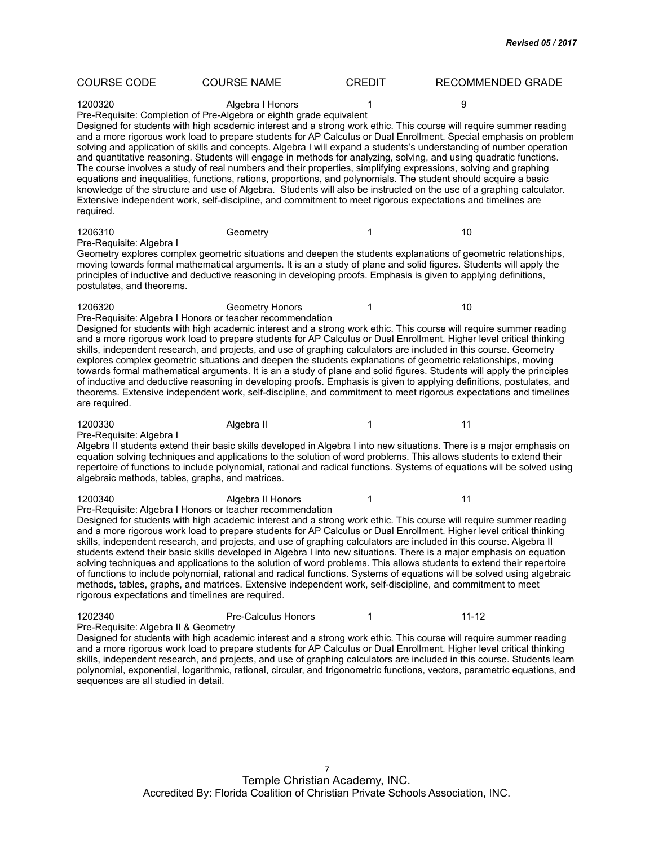| <b>COURSE CODE</b>                                           | <b>COURSE NAME</b>                                                                                                                                                                                                                                                                                                                                                                                                                                                                                                                                                                                                                                                                                                                                                                                                                                                                                                                            | <b>CREDIT</b> | <b>RECOMMENDED GRADE</b> |  |
|--------------------------------------------------------------|-----------------------------------------------------------------------------------------------------------------------------------------------------------------------------------------------------------------------------------------------------------------------------------------------------------------------------------------------------------------------------------------------------------------------------------------------------------------------------------------------------------------------------------------------------------------------------------------------------------------------------------------------------------------------------------------------------------------------------------------------------------------------------------------------------------------------------------------------------------------------------------------------------------------------------------------------|---------------|--------------------------|--|
| 1200320                                                      | Algebra I Honors<br>Pre-Requisite: Completion of Pre-Algebra or eighth grade equivalent<br>Designed for students with high academic interest and a strong work ethic. This course will require summer reading                                                                                                                                                                                                                                                                                                                                                                                                                                                                                                                                                                                                                                                                                                                                 |               | 9                        |  |
| required.                                                    | and a more rigorous work load to prepare students for AP Calculus or Dual Enrollment. Special emphasis on problem<br>solving and application of skills and concepts. Algebra I will expand a students's understanding of number operation<br>and quantitative reasoning. Students will engage in methods for analyzing, solving, and using quadratic functions.<br>The course involves a study of real numbers and their properties, simplifying expressions, solving and graphing<br>equations and inequalities, functions, rations, proportions, and polynomials. The student should acquire a basic<br>knowledge of the structure and use of Algebra. Students will also be instructed on the use of a graphing calculator.<br>Extensive independent work, self-discipline, and commitment to meet rigorous expectations and timelines are                                                                                                 |               |                          |  |
| 1206310<br>Pre-Requisite: Algebra I                          | Geometry                                                                                                                                                                                                                                                                                                                                                                                                                                                                                                                                                                                                                                                                                                                                                                                                                                                                                                                                      | 1             | 10                       |  |
| postulates, and theorems.                                    | Geometry explores complex geometric situations and deepen the students explanations of geometric relationships,<br>moving towards formal mathematical arguments. It is an a study of plane and solid figures. Students will apply the<br>principles of inductive and deductive reasoning in developing proofs. Emphasis is given to applying definitions,                                                                                                                                                                                                                                                                                                                                                                                                                                                                                                                                                                                     |               |                          |  |
| 1206320                                                      | <b>Geometry Honors</b><br>Pre-Requisite: Algebra I Honors or teacher recommendation                                                                                                                                                                                                                                                                                                                                                                                                                                                                                                                                                                                                                                                                                                                                                                                                                                                           | 1             | 10                       |  |
| are required.                                                | Designed for students with high academic interest and a strong work ethic. This course will require summer reading<br>and a more rigorous work load to prepare students for AP Calculus or Dual Enrollment. Higher level critical thinking<br>skills, independent research, and projects, and use of graphing calculators are included in this course. Geometry<br>explores complex geometric situations and deepen the students explanations of geometric relationships, moving<br>towards formal mathematical arguments. It is an a study of plane and solid figures. Students will apply the principles<br>of inductive and deductive reasoning in developing proofs. Emphasis is given to applying definitions, postulates, and<br>theorems. Extensive independent work, self-discipline, and commitment to meet rigorous expectations and timelines                                                                                      |               |                          |  |
| 1200330<br>Pre-Requisite: Algebra I                          | Algebra II                                                                                                                                                                                                                                                                                                                                                                                                                                                                                                                                                                                                                                                                                                                                                                                                                                                                                                                                    | 1             | 11                       |  |
| algebraic methods, tables, graphs, and matrices.             | Algebra II students extend their basic skills developed in Algebra I into new situations. There is a major emphasis on<br>equation solving techniques and applications to the solution of word problems. This allows students to extend their<br>repertoire of functions to include polynomial, rational and radical functions. Systems of equations will be solved using                                                                                                                                                                                                                                                                                                                                                                                                                                                                                                                                                                     |               |                          |  |
| 1200340<br>rigorous expectations and timelines are required. | Algebra II Honors<br>Pre-Requisite: Algebra I Honors or teacher recommendation<br>Designed for students with high academic interest and a strong work ethic. This course will require summer reading<br>and a more rigorous work load to prepare students for AP Calculus or Dual Enrollment. Higher level critical thinking<br>skills, independent research, and projects, and use of graphing calculators are included in this course. Algebra II<br>students extend their basic skills developed in Algebra I into new situations. There is a major emphasis on equation<br>solving techniques and applications to the solution of word problems. This allows students to extend their repertoire<br>of functions to include polynomial, rational and radical functions. Systems of equations will be solved using algebraic<br>methods, tables, graphs, and matrices. Extensive independent work, self-discipline, and commitment to meet | 1             | 11                       |  |
| 1202340<br>Pre-Requisite: Algebra II & Geometry              | Pre-Calculus Honors<br>Designed for students with high academic interest and a strong work ethic. This course will require summer reading<br>and a more rigorous work load to prepare students for AP Calculus or Dual Enrollment. Higher level critical thinking<br>skills, independent research, and projects, and use of graphing calculators are included in this course. Students learn                                                                                                                                                                                                                                                                                                                                                                                                                                                                                                                                                  | 1             | $11 - 12$                |  |

polynomial, exponential, logarithmic, rational, circular, and trigonometric functions, vectors, parametric equations, and

sequences are all studied in detail.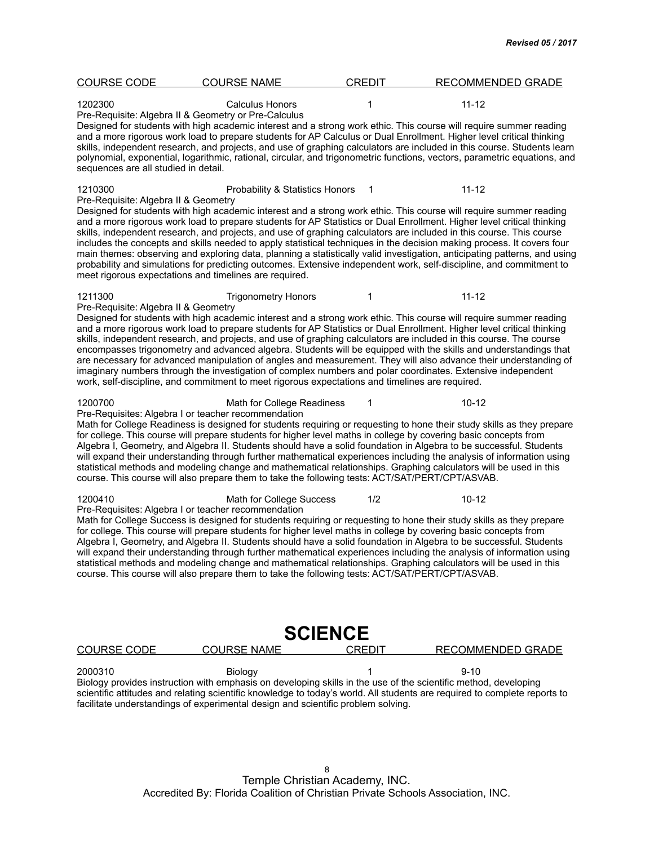| <b>COURSE CODE</b>                              | <b>COURSE NAME</b>                                                                                                                                                                                                                                                                                       | <b>CREDIT</b> | <b>RECOMMENDED GRADE</b>                                                                                                                                                                                                                                                                                                                                                                                                                                                                                                                                                                                                                                                                                                                                        |
|-------------------------------------------------|----------------------------------------------------------------------------------------------------------------------------------------------------------------------------------------------------------------------------------------------------------------------------------------------------------|---------------|-----------------------------------------------------------------------------------------------------------------------------------------------------------------------------------------------------------------------------------------------------------------------------------------------------------------------------------------------------------------------------------------------------------------------------------------------------------------------------------------------------------------------------------------------------------------------------------------------------------------------------------------------------------------------------------------------------------------------------------------------------------------|
| 1202300<br>sequences are all studied in detail. | <b>Calculus Honors</b><br>Pre-Requisite: Algebra II & Geometry or Pre-Calculus                                                                                                                                                                                                                           | 1             | $11 - 12$<br>Designed for students with high academic interest and a strong work ethic. This course will require summer reading<br>and a more rigorous work load to prepare students for AP Calculus or Dual Enrollment. Higher level critical thinking<br>skills, independent research, and projects, and use of graphing calculators are included in this course. Students learn<br>polynomial, exponential, logarithmic, rational, circular, and trigonometric functions, vectors, parametric equations, and                                                                                                                                                                                                                                                 |
| 1210300<br>Pre-Requisite: Algebra II & Geometry | Probability & Statistics Honors<br>meet rigorous expectations and timelines are required.                                                                                                                                                                                                                | $\mathbf 1$   | $11 - 12$<br>Designed for students with high academic interest and a strong work ethic. This course will require summer reading<br>and a more rigorous work load to prepare students for AP Statistics or Dual Enrollment. Higher level critical thinking<br>skills, independent research, and projects, and use of graphing calculators are included in this course. This course<br>includes the concepts and skills needed to apply statistical techniques in the decision making process. It covers four<br>main themes: observing and exploring data, planning a statistically valid investigation, anticipating patterns, and using<br>probability and simulations for predicting outcomes. Extensive independent work, self-discipline, and commitment to |
| 1211300<br>Pre-Requisite: Algebra II & Geometry | <b>Trigonometry Honors</b><br>work, self-discipline, and commitment to meet rigorous expectations and timelines are required.                                                                                                                                                                            | 1             | $11 - 12$<br>Designed for students with high academic interest and a strong work ethic. This course will require summer reading<br>and a more rigorous work load to prepare students for AP Statistics or Dual Enrollment. Higher level critical thinking<br>skills, independent research, and projects, and use of graphing calculators are included in this course. The course<br>encompasses trigonometry and advanced algebra. Students will be equipped with the skills and understandings that<br>are necessary for advanced manipulation of angles and measurement. They will also advance their understanding of<br>imaginary numbers through the investigation of complex numbers and polar coordinates. Extensive independent                         |
| 1200700                                         | Math for College Readiness<br>Pre-Requisites: Algebra I or teacher recommendation<br>for college. This course will prepare students for higher level maths in college by covering basic concepts from<br>course. This course will also prepare them to take the following tests: ACT/SAT/PERT/CPT/ASVAB. | 1             | $10 - 12$<br>Math for College Readiness is designed for students requiring or requesting to hone their study skills as they prepare<br>Algebra I, Geometry, and Algebra II. Students should have a solid foundation in Algebra to be successful. Students<br>will expand their understanding through further mathematical experiences including the analysis of information using<br>statistical methods and modeling change and mathematical relationships. Graphing calculators will be used in this                                                                                                                                                                                                                                                          |
| 1200410                                         | Math for College Success<br>Pre-Requisites: Algebra I or teacher recommendation<br>for college. This course will prepare students for higher level maths in college by covering basic concepts from<br>course. This course will also prepare them to take the following tests: ACT/SAT/PERT/CPT/ASVAB.   | 1/2           | $10 - 12$<br>Math for College Success is designed for students requiring or requesting to hone their study skills as they prepare<br>Algebra I, Geometry, and Algebra II. Students should have a solid foundation in Algebra to be successful. Students<br>will expand their understanding through further mathematical experiences including the analysis of information using<br>statistical methods and modeling change and mathematical relationships. Graphing calculators will be used in this                                                                                                                                                                                                                                                            |
| <b>COURSE CODE</b>                              | <b>SCIENCE</b><br><b>COURSE NAME</b>                                                                                                                                                                                                                                                                     | <b>CREDIT</b> | <u>RECOMMENDED GRADE</u>                                                                                                                                                                                                                                                                                                                                                                                                                                                                                                                                                                                                                                                                                                                                        |
| 2000310                                         | Biology<br>Biology provides instruction with emphasis on developing skills in the use of the scientific method, developing<br>facilitate understandings of experimental design and scientific problem solving.                                                                                           | 1             | $9 - 10$<br>scientific attitudes and relating scientific knowledge to today's world. All students are required to complete reports to                                                                                                                                                                                                                                                                                                                                                                                                                                                                                                                                                                                                                           |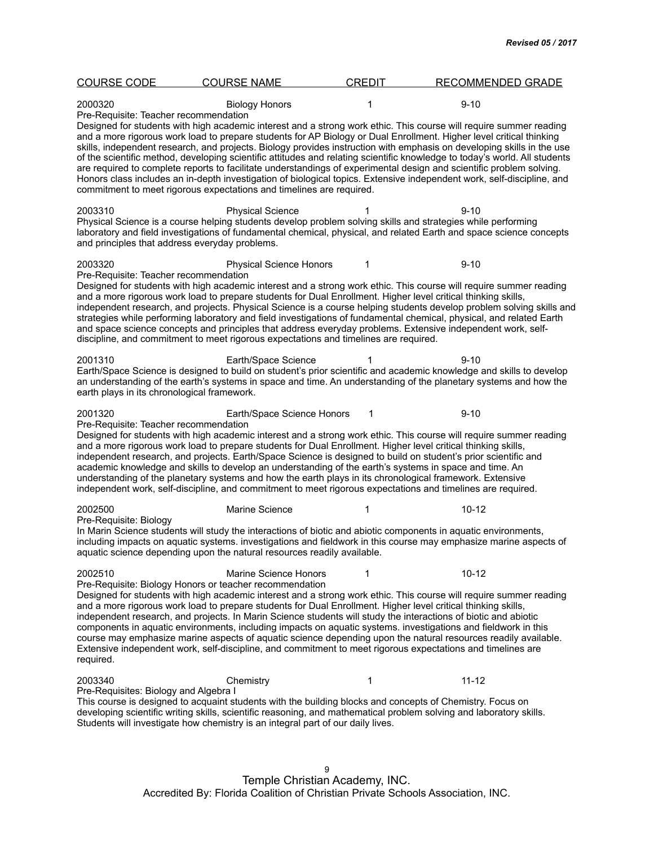| <b>COURSE CODE</b>                                        | <b>COURSE NAME</b>                                                                                                                                                                                                                                                                                                                                                                                                                                 | <b>CREDIT</b> | <b>RECOMMENDED GRADE</b>                                                                                                                                                                                                                                                                                                                                                                                                                                                                                                                                                                                                                                                                                                                            |  |
|-----------------------------------------------------------|----------------------------------------------------------------------------------------------------------------------------------------------------------------------------------------------------------------------------------------------------------------------------------------------------------------------------------------------------------------------------------------------------------------------------------------------------|---------------|-----------------------------------------------------------------------------------------------------------------------------------------------------------------------------------------------------------------------------------------------------------------------------------------------------------------------------------------------------------------------------------------------------------------------------------------------------------------------------------------------------------------------------------------------------------------------------------------------------------------------------------------------------------------------------------------------------------------------------------------------------|--|
| 2000320<br>Pre-Requisite: Teacher recommendation          | <b>Biology Honors</b>                                                                                                                                                                                                                                                                                                                                                                                                                              | 1             | $9 - 10$                                                                                                                                                                                                                                                                                                                                                                                                                                                                                                                                                                                                                                                                                                                                            |  |
|                                                           | commitment to meet rigorous expectations and timelines are required.                                                                                                                                                                                                                                                                                                                                                                               |               | Designed for students with high academic interest and a strong work ethic. This course will require summer reading<br>and a more rigorous work load to prepare students for AP Biology or Dual Enrollment. Higher level critical thinking<br>skills, independent research, and projects. Biology provides instruction with emphasis on developing skills in the use<br>of the scientific method, developing scientific attitudes and relating scientific knowledge to today's world. All students<br>are required to complete reports to facilitate understandings of experimental design and scientific problem solving.<br>Honors class includes an in-depth investigation of biological topics. Extensive independent work, self-discipline, and |  |
| 2003310<br>and principles that address everyday problems. | <b>Physical Science</b><br>Physical Science is a course helping students develop problem solving skills and strategies while performing                                                                                                                                                                                                                                                                                                            |               | $9 - 10$<br>laboratory and field investigations of fundamental chemical, physical, and related Earth and space science concepts                                                                                                                                                                                                                                                                                                                                                                                                                                                                                                                                                                                                                     |  |
| 2003320<br>Pre-Requisite: Teacher recommendation          | <b>Physical Science Honors</b>                                                                                                                                                                                                                                                                                                                                                                                                                     | 1             | $9 - 10$                                                                                                                                                                                                                                                                                                                                                                                                                                                                                                                                                                                                                                                                                                                                            |  |
|                                                           | and a more rigorous work load to prepare students for Dual Enrollment. Higher level critical thinking skills,<br>discipline, and commitment to meet rigorous expectations and timelines are required.                                                                                                                                                                                                                                              |               | Designed for students with high academic interest and a strong work ethic. This course will require summer reading<br>independent research, and projects. Physical Science is a course helping students develop problem solving skills and<br>strategies while performing laboratory and field investigations of fundamental chemical, physical, and related Earth<br>and space science concepts and principles that address everyday problems. Extensive independent work, self-                                                                                                                                                                                                                                                                   |  |
| 2001310<br>earth plays in its chronological framework.    | Earth/Space Science                                                                                                                                                                                                                                                                                                                                                                                                                                |               | $9 - 10$<br>Earth/Space Science is designed to build on student's prior scientific and academic knowledge and skills to develop<br>an understanding of the earth's systems in space and time. An understanding of the planetary systems and how the                                                                                                                                                                                                                                                                                                                                                                                                                                                                                                 |  |
| 2001320                                                   | Earth/Space Science Honors                                                                                                                                                                                                                                                                                                                                                                                                                         | 1             | $9 - 10$                                                                                                                                                                                                                                                                                                                                                                                                                                                                                                                                                                                                                                                                                                                                            |  |
| Pre-Requisite: Teacher recommendation                     | and a more rigorous work load to prepare students for Dual Enrollment. Higher level critical thinking skills,<br>academic knowledge and skills to develop an understanding of the earth's systems in space and time. An<br>understanding of the planetary systems and how the earth plays in its chronological framework. Extensive<br>independent work, self-discipline, and commitment to meet rigorous expectations and timelines are required. |               | Designed for students with high academic interest and a strong work ethic. This course will require summer reading<br>independent research, and projects. Earth/Space Science is designed to build on student's prior scientific and                                                                                                                                                                                                                                                                                                                                                                                                                                                                                                                |  |
| 2002500                                                   | Marine Science                                                                                                                                                                                                                                                                                                                                                                                                                                     | 1             | $10 - 12$                                                                                                                                                                                                                                                                                                                                                                                                                                                                                                                                                                                                                                                                                                                                           |  |
| Pre-Requisite: Biology                                    | aquatic science depending upon the natural resources readily available.                                                                                                                                                                                                                                                                                                                                                                            |               | In Marin Science students will study the interactions of biotic and abiotic components in aquatic environments,<br>including impacts on aquatic systems. investigations and fieldwork in this course may emphasize marine aspects of                                                                                                                                                                                                                                                                                                                                                                                                                                                                                                                |  |
| 2002510                                                   | <b>Marine Science Honors</b><br>Pre-Requisite: Biology Honors or teacher recommendation                                                                                                                                                                                                                                                                                                                                                            | 1             | $10 - 12$                                                                                                                                                                                                                                                                                                                                                                                                                                                                                                                                                                                                                                                                                                                                           |  |
| required.                                                 | and a more rigorous work load to prepare students for Dual Enrollment. Higher level critical thinking skills,<br>independent research, and projects. In Marin Science students will study the interactions of biotic and abiotic                                                                                                                                                                                                                   |               | Designed for students with high academic interest and a strong work ethic. This course will require summer reading<br>components in aquatic environments, including impacts on aquatic systems. investigations and fieldwork in this<br>course may emphasize marine aspects of aquatic science depending upon the natural resources readily available.<br>Extensive independent work, self-discipline, and commitment to meet rigorous expectations and timelines are                                                                                                                                                                                                                                                                               |  |
| 2003340                                                   | Chemistry                                                                                                                                                                                                                                                                                                                                                                                                                                          | 1             | $11 - 12$                                                                                                                                                                                                                                                                                                                                                                                                                                                                                                                                                                                                                                                                                                                                           |  |
| Pre-Requisites: Biology and Algebra I                     | This course is designed to acquaint students with the building blocks and concepts of Chemistry. Focus on<br>Students will investigate how chemistry is an integral part of our daily lives.                                                                                                                                                                                                                                                       |               | developing scientific writing skills, scientific reasoning, and mathematical problem solving and laboratory skills.                                                                                                                                                                                                                                                                                                                                                                                                                                                                                                                                                                                                                                 |  |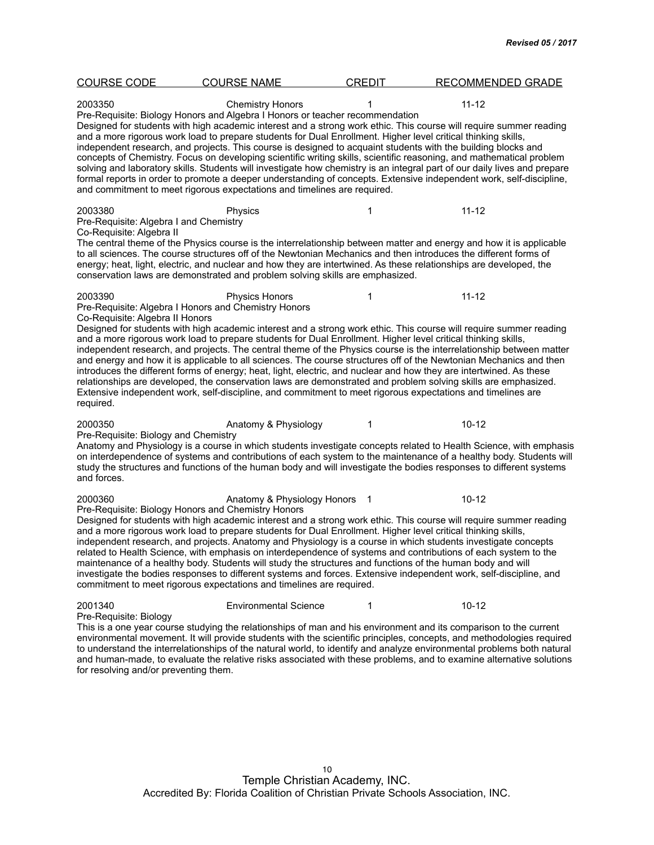| <b>COURSE CODE</b>                                                            | <b>COURSE NAME</b>                                                                                                                                                                                                                                                                                                                                                                                                    | <b>CREDIT</b> | <b>RECOMMENDED GRADE</b>                                                                                                                                                                                                                                                                                                                                                                                                                                                                                                                                                                                              |
|-------------------------------------------------------------------------------|-----------------------------------------------------------------------------------------------------------------------------------------------------------------------------------------------------------------------------------------------------------------------------------------------------------------------------------------------------------------------------------------------------------------------|---------------|-----------------------------------------------------------------------------------------------------------------------------------------------------------------------------------------------------------------------------------------------------------------------------------------------------------------------------------------------------------------------------------------------------------------------------------------------------------------------------------------------------------------------------------------------------------------------------------------------------------------------|
| 2003350                                                                       | <b>Chemistry Honors</b><br>Pre-Requisite: Biology Honors and Algebra I Honors or teacher recommendation<br>and a more rigorous work load to prepare students for Dual Enrollment. Higher level critical thinking skills,<br>independent research, and projects. This course is designed to acquaint students with the building blocks and<br>and commitment to meet rigorous expectations and timelines are required. |               | $11 - 12$<br>Designed for students with high academic interest and a strong work ethic. This course will require summer reading<br>concepts of Chemistry. Focus on developing scientific writing skills, scientific reasoning, and mathematical problem<br>solving and laboratory skills. Students will investigate how chemistry is an integral part of our daily lives and prepare<br>formal reports in order to promote a deeper understanding of concepts. Extensive independent work, self-discipline,                                                                                                           |
| 2003380<br>Pre-Requisite: Algebra I and Chemistry<br>Co-Requisite: Algebra II | Physics<br>conservation laws are demonstrated and problem solving skills are emphasized.                                                                                                                                                                                                                                                                                                                              | 1             | $11 - 12$<br>The central theme of the Physics course is the interrelationship between matter and energy and how it is applicable<br>to all sciences. The course structures off of the Newtonian Mechanics and then introduces the different forms of<br>energy; heat, light, electric, and nuclear and how they are intertwined. As these relationships are developed, the                                                                                                                                                                                                                                            |
| 2003390<br>Co-Requisite: Algebra II Honors<br>required.                       | <b>Physics Honors</b><br>Pre-Requisite: Algebra I Honors and Chemistry Honors<br>and a more rigorous work load to prepare students for Dual Enrollment. Higher level critical thinking skills,<br>Extensive independent work, self-discipline, and commitment to meet rigorous expectations and timelines are                                                                                                         | 1             | $11 - 12$<br>Designed for students with high academic interest and a strong work ethic. This course will require summer reading<br>independent research, and projects. The central theme of the Physics course is the interrelationship between matter<br>and energy and how it is applicable to all sciences. The course structures off of the Newtonian Mechanics and then<br>introduces the different forms of energy; heat, light, electric, and nuclear and how they are intertwined. As these<br>relationships are developed, the conservation laws are demonstrated and problem solving skills are emphasized. |
| 2000350<br>Pre-Requisite: Biology and Chemistry<br>and forces.                | Anatomy & Physiology                                                                                                                                                                                                                                                                                                                                                                                                  | 1             | $10 - 12$<br>Anatomy and Physiology is a course in which students investigate concepts related to Health Science, with emphasis<br>on interdependence of systems and contributions of each system to the maintenance of a healthy body. Students will<br>study the structures and functions of the human body and will investigate the bodies responses to different systems                                                                                                                                                                                                                                          |
| 2000360                                                                       | Anatomy & Physiology Honors 1<br>Pre-Requisite: Biology Honors and Chemistry Honors<br>and a more rigorous work load to prepare students for Dual Enrollment. Higher level critical thinking skills,<br>maintenance of a healthy body. Students will study the structures and functions of the human body and will<br>commitment to meet rigorous expectations and timelines are required.                            |               | $10 - 12$<br>Designed for students with high academic interest and a strong work ethic. This course will require summer reading<br>independent research, and projects. Anatomy and Physiology is a course in which students investigate concepts<br>related to Health Science, with emphasis on interdependence of systems and contributions of each system to the<br>investigate the bodies responses to different systems and forces. Extensive independent work, self-discipline, and                                                                                                                              |
| 2001340<br>Pre-Requisite: Biology                                             | <b>Environmental Science</b>                                                                                                                                                                                                                                                                                                                                                                                          | 1             | $10 - 12$<br>This is a one year course studying the relationships of man and his environment and its comparison to the current<br>environmental movement. It will provide students with the scientific principles, concepts, and methodologies required<br>to understand the interrelationships of the natural world, to identify and analyze environmental problems both natural                                                                                                                                                                                                                                     |

and human-made, to evaluate the relative risks associated with these problems, and to examine alternative solutions

for resolving and/or preventing them.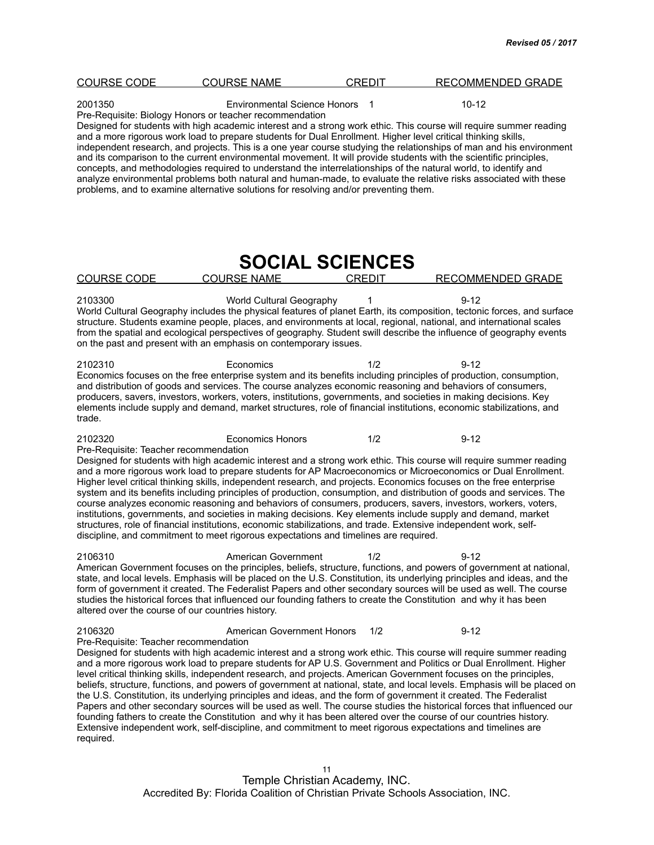| <b>COURSE CODE</b>                                                                                                                                                                                                                                                                                                                                                                                                                                                                                                                                                                                                                                                                                                                                                                                                                                                                                                                                                    | <b>COURSE NAME</b>                                                                                              | <b>CREDIT</b>          | RECOMMENDED GRADE                                                                                                                                                                                                                                                                                                                                                                                                                                                                                                                                                                                                                                                                                                                                                                                                                                                                                                                                                                      |  |  |
|-----------------------------------------------------------------------------------------------------------------------------------------------------------------------------------------------------------------------------------------------------------------------------------------------------------------------------------------------------------------------------------------------------------------------------------------------------------------------------------------------------------------------------------------------------------------------------------------------------------------------------------------------------------------------------------------------------------------------------------------------------------------------------------------------------------------------------------------------------------------------------------------------------------------------------------------------------------------------|-----------------------------------------------------------------------------------------------------------------|------------------------|----------------------------------------------------------------------------------------------------------------------------------------------------------------------------------------------------------------------------------------------------------------------------------------------------------------------------------------------------------------------------------------------------------------------------------------------------------------------------------------------------------------------------------------------------------------------------------------------------------------------------------------------------------------------------------------------------------------------------------------------------------------------------------------------------------------------------------------------------------------------------------------------------------------------------------------------------------------------------------------|--|--|
| 2001350<br><b>Environmental Science Honors</b><br>$10 - 12$<br>$\overline{\phantom{1}}$<br>Pre-Requisite: Biology Honors or teacher recommendation<br>Designed for students with high academic interest and a strong work ethic. This course will require summer reading<br>and a more rigorous work load to prepare students for Dual Enrollment. Higher level critical thinking skills,<br>independent research, and projects. This is a one year course studying the relationships of man and his environment<br>and its comparison to the current environmental movement. It will provide students with the scientific principles,<br>concepts, and methodologies required to understand the interrelationships of the natural world, to identify and<br>analyze environmental problems both natural and human-made, to evaluate the relative risks associated with these<br>problems, and to examine alternative solutions for resolving and/or preventing them. |                                                                                                                 |                        |                                                                                                                                                                                                                                                                                                                                                                                                                                                                                                                                                                                                                                                                                                                                                                                                                                                                                                                                                                                        |  |  |
|                                                                                                                                                                                                                                                                                                                                                                                                                                                                                                                                                                                                                                                                                                                                                                                                                                                                                                                                                                       |                                                                                                                 | <b>SOCIAL SCIENCES</b> |                                                                                                                                                                                                                                                                                                                                                                                                                                                                                                                                                                                                                                                                                                                                                                                                                                                                                                                                                                                        |  |  |
| <b>COURSE CODE</b>                                                                                                                                                                                                                                                                                                                                                                                                                                                                                                                                                                                                                                                                                                                                                                                                                                                                                                                                                    | <b>COURSE NAME</b>                                                                                              | <b>CREDIT</b>          | <b>RECOMMENDED GRADE</b>                                                                                                                                                                                                                                                                                                                                                                                                                                                                                                                                                                                                                                                                                                                                                                                                                                                                                                                                                               |  |  |
| 2103300                                                                                                                                                                                                                                                                                                                                                                                                                                                                                                                                                                                                                                                                                                                                                                                                                                                                                                                                                               | World Cultural Geography<br>on the past and present with an emphasis on contemporary issues.                    |                        | $9 - 12$<br>World Cultural Geography includes the physical features of planet Earth, its composition, tectonic forces, and surface<br>structure. Students examine people, places, and environments at local, regional, national, and international scales<br>from the spatial and ecological perspectives of geography. Student swill describe the influence of geography events                                                                                                                                                                                                                                                                                                                                                                                                                                                                                                                                                                                                       |  |  |
| 2102310<br>trade.                                                                                                                                                                                                                                                                                                                                                                                                                                                                                                                                                                                                                                                                                                                                                                                                                                                                                                                                                     | Economics                                                                                                       | 1/2                    | $9 - 12$<br>Economics focuses on the free enterprise system and its benefits including principles of production, consumption,<br>and distribution of goods and services. The course analyzes economic reasoning and behaviors of consumers,<br>producers, savers, investors, workers, voters, institutions, governments, and societies in making decisions. Key<br>elements include supply and demand, market structures, role of financial institutions, economic stabilizations, and                                                                                                                                                                                                                                                                                                                                                                                                                                                                                                 |  |  |
| 2102320<br>Pre-Requisite: Teacher recommendation                                                                                                                                                                                                                                                                                                                                                                                                                                                                                                                                                                                                                                                                                                                                                                                                                                                                                                                      | <b>Economics Honors</b><br>discipline, and commitment to meet rigorous expectations and timelines are required. | 1/2                    | $9 - 12$<br>Designed for students with high academic interest and a strong work ethic. This course will require summer reading<br>and a more rigorous work load to prepare students for AP Macroeconomics or Microeconomics or Dual Enrollment.<br>Higher level critical thinking skills, independent research, and projects. Economics focuses on the free enterprise<br>system and its benefits including principles of production, consumption, and distribution of goods and services. The<br>course analyzes economic reasoning and behaviors of consumers, producers, savers, investors, workers, voters,<br>institutions, governments, and societies in making decisions. Key elements include supply and demand, market<br>structures, role of financial institutions, economic stabilizations, and trade. Extensive independent work, self-                                                                                                                                   |  |  |
| 2106310<br>altered over the course of our countries history.                                                                                                                                                                                                                                                                                                                                                                                                                                                                                                                                                                                                                                                                                                                                                                                                                                                                                                          | American Government                                                                                             | 1/2                    | $9 - 12$<br>American Government focuses on the principles, beliefs, structure, functions, and powers of government at national,<br>state, and local levels. Emphasis will be placed on the U.S. Constitution, its underlying principles and ideas, and the<br>form of government it created. The Federalist Papers and other secondary sources will be used as well. The course<br>studies the historical forces that influenced our founding fathers to create the Constitution and why it has been                                                                                                                                                                                                                                                                                                                                                                                                                                                                                   |  |  |
| 2106320<br>Pre-Requisite: Teacher recommendation<br>required.                                                                                                                                                                                                                                                                                                                                                                                                                                                                                                                                                                                                                                                                                                                                                                                                                                                                                                         | American Government Honors                                                                                      | 1/2                    | $9 - 12$<br>Designed for students with high academic interest and a strong work ethic. This course will require summer reading<br>and a more rigorous work load to prepare students for AP U.S. Government and Politics or Dual Enrollment. Higher<br>level critical thinking skills, independent research, and projects. American Government focuses on the principles,<br>beliefs, structure, functions, and powers of government at national, state, and local levels. Emphasis will be placed on<br>the U.S. Constitution, its underlying principles and ideas, and the form of government it created. The Federalist<br>Papers and other secondary sources will be used as well. The course studies the historical forces that influenced our<br>founding fathers to create the Constitution and why it has been altered over the course of our countries history.<br>Extensive independent work, self-discipline, and commitment to meet rigorous expectations and timelines are |  |  |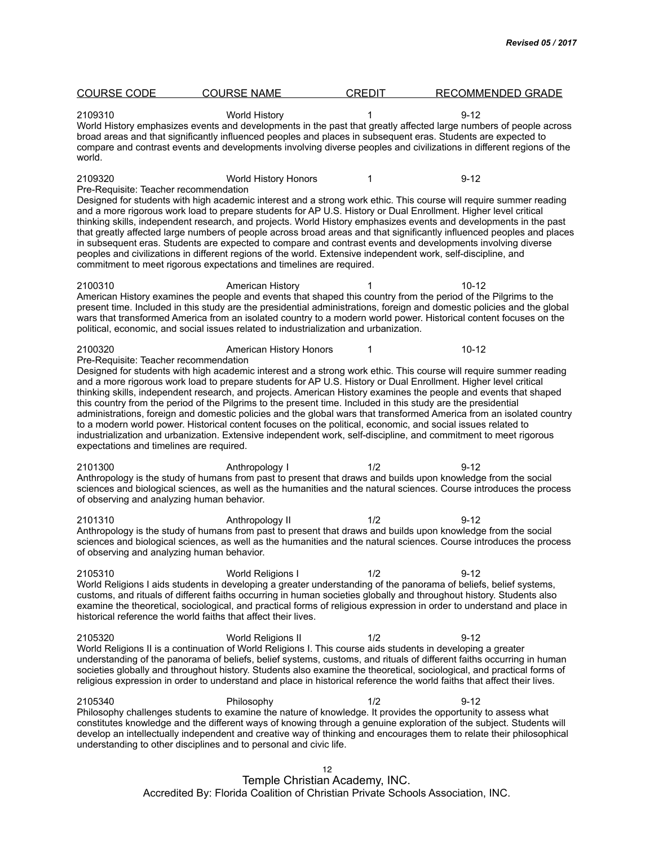| <b>COURSE CODE</b>                               | <b>COURSE NAME</b>                                                                                                                                                                                                                                                                                                                               | <b>CREDIT</b> | <b>RECOMMENDED GRADE</b>                                                                                                                                                                                                                                                                                                                                                                                                                                                           |  |
|--------------------------------------------------|--------------------------------------------------------------------------------------------------------------------------------------------------------------------------------------------------------------------------------------------------------------------------------------------------------------------------------------------------|---------------|------------------------------------------------------------------------------------------------------------------------------------------------------------------------------------------------------------------------------------------------------------------------------------------------------------------------------------------------------------------------------------------------------------------------------------------------------------------------------------|--|
| 2109310<br>world.                                | <b>World History</b><br>broad areas and that significantly influenced peoples and places in subsequent eras. Students are expected to                                                                                                                                                                                                            | 1             | $9 - 12$<br>World History emphasizes events and developments in the past that greatly affected large numbers of people across<br>compare and contrast events and developments involving diverse peoples and civilizations in different regions of the                                                                                                                                                                                                                              |  |
| 2109320<br>Pre-Requisite: Teacher recommendation | World History Honors                                                                                                                                                                                                                                                                                                                             | 1             | $9 - 12$                                                                                                                                                                                                                                                                                                                                                                                                                                                                           |  |
|                                                  | and a more rigorous work load to prepare students for AP U.S. History or Dual Enrollment. Higher level critical<br>peoples and civilizations in different regions of the world. Extensive independent work, self-discipline, and<br>commitment to meet rigorous expectations and timelines are required.                                         |               | Designed for students with high academic interest and a strong work ethic. This course will require summer reading<br>thinking skills, independent research, and projects. World History emphasizes events and developments in the past<br>that greatly affected large numbers of people across broad areas and that significantly influenced peoples and places<br>in subsequent eras. Students are expected to compare and contrast events and developments involving diverse    |  |
| 2100310                                          | American History<br>political, economic, and social issues related to industrialization and urbanization.                                                                                                                                                                                                                                        |               | 10-12<br>American History examines the people and events that shaped this country from the period of the Pilgrims to the<br>present time. Included in this study are the presidential administrations, foreign and domestic policies and the global<br>wars that transformed America from an isolated country to a modern world power. Historical content focuses on the                                                                                                           |  |
| 2100320<br>Pre-Requisite: Teacher recommendation | American History Honors                                                                                                                                                                                                                                                                                                                          | 1             | $10 - 12$                                                                                                                                                                                                                                                                                                                                                                                                                                                                          |  |
| expectations and timelines are required.         | and a more rigorous work load to prepare students for AP U.S. History or Dual Enrollment. Higher level critical<br>this country from the period of the Pilgrims to the present time. Included in this study are the presidential<br>to a modern world power. Historical content focuses on the political, economic, and social issues related to |               | Designed for students with high academic interest and a strong work ethic. This course will require summer reading<br>thinking skills, independent research, and projects. American History examines the people and events that shaped<br>administrations, foreign and domestic policies and the global wars that transformed America from an isolated country<br>industrialization and urbanization. Extensive independent work, self-discipline, and commitment to meet rigorous |  |
| 2101300                                          | Anthropology I                                                                                                                                                                                                                                                                                                                                   | 1/2           | $9 - 12$                                                                                                                                                                                                                                                                                                                                                                                                                                                                           |  |
| of observing and analyzing human behavior.       |                                                                                                                                                                                                                                                                                                                                                  |               | Anthropology is the study of humans from past to present that draws and builds upon knowledge from the social<br>sciences and biological sciences, as well as the humanities and the natural sciences. Course introduces the process                                                                                                                                                                                                                                               |  |
| 2101310                                          | Anthropology II                                                                                                                                                                                                                                                                                                                                  | 1/2           | $9 - 12$                                                                                                                                                                                                                                                                                                                                                                                                                                                                           |  |
| of observing and analyzing human behavior.       |                                                                                                                                                                                                                                                                                                                                                  |               | Anthropology is the study of humans from past to present that draws and builds upon knowledge from the social<br>sciences and biological sciences, as well as the humanities and the natural sciences. Course introduces the process                                                                                                                                                                                                                                               |  |
| 2105310                                          | World Religions I<br>historical reference the world faiths that affect their lives.                                                                                                                                                                                                                                                              | 1/2           | $9 - 12$<br>World Religions I aids students in developing a greater understanding of the panorama of beliefs, belief systems,<br>customs, and rituals of different faiths occurring in human societies globally and throughout history. Students also<br>examine the theoretical, sociological, and practical forms of religious expression in order to understand and place in                                                                                                    |  |
| 2105320                                          | World Religions II<br>World Religions II is a continuation of World Religions I. This course aids students in developing a greater                                                                                                                                                                                                               | 1/2           | $9 - 12$<br>understanding of the panorama of beliefs, belief systems, customs, and rituals of different faiths occurring in human<br>societies globally and throughout history. Students also examine the theoretical, sociological, and practical forms of<br>religious expression in order to understand and place in historical reference the world faiths that affect their lives.                                                                                             |  |
| 2105340                                          | Philosophy<br>understanding to other disciplines and to personal and civic life.                                                                                                                                                                                                                                                                 | 1/2           | $9 - 12$<br>Philosophy challenges students to examine the nature of knowledge. It provides the opportunity to assess what<br>constitutes knowledge and the different ways of knowing through a genuine exploration of the subject. Students will<br>develop an intellectually independent and creative way of thinking and encourages them to relate their philosophical                                                                                                           |  |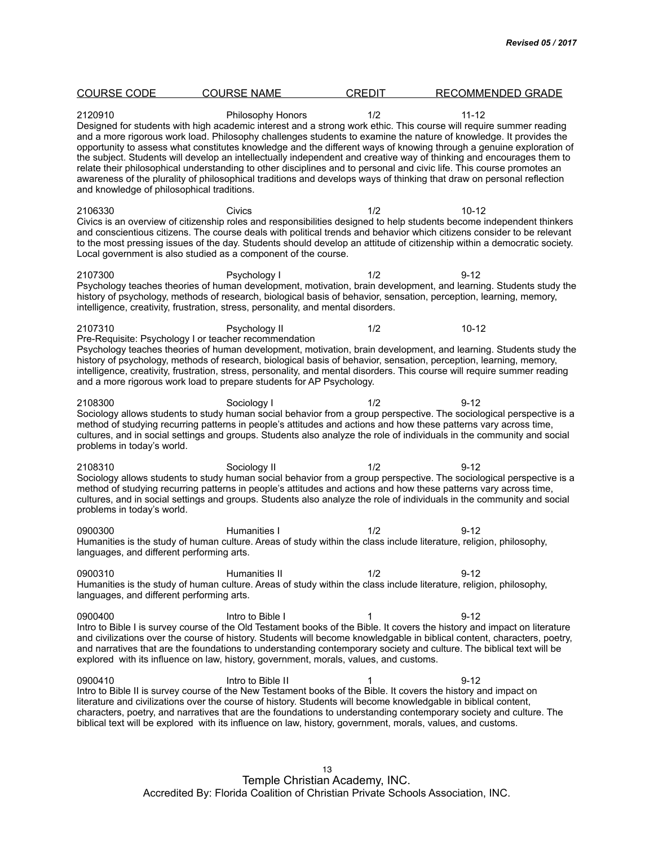| <b>COURSE CODE</b>                                    | <b>COURSE NAME</b>                                                                                                                                                                                                                                                                                                                                                     | <b>CREDIT</b> | <b>RECOMMENDED GRADE</b>                                                                                                                                                                                                                                                                                                                                                                                                                                                                                                                                                                                                                                                                                                                              |
|-------------------------------------------------------|------------------------------------------------------------------------------------------------------------------------------------------------------------------------------------------------------------------------------------------------------------------------------------------------------------------------------------------------------------------------|---------------|-------------------------------------------------------------------------------------------------------------------------------------------------------------------------------------------------------------------------------------------------------------------------------------------------------------------------------------------------------------------------------------------------------------------------------------------------------------------------------------------------------------------------------------------------------------------------------------------------------------------------------------------------------------------------------------------------------------------------------------------------------|
| 2120910<br>and knowledge of philosophical traditions. | <b>Philosophy Honors</b>                                                                                                                                                                                                                                                                                                                                               | 1/2           | $11 - 12$<br>Designed for students with high academic interest and a strong work ethic. This course will require summer reading<br>and a more rigorous work load. Philosophy challenges students to examine the nature of knowledge. It provides the<br>opportunity to assess what constitutes knowledge and the different ways of knowing through a genuine exploration of<br>the subject. Students will develop an intellectually independent and creative way of thinking and encourages them to<br>relate their philosophical understanding to other disciplines and to personal and civic life. This course promotes an<br>awareness of the plurality of philosophical traditions and develops ways of thinking that draw on personal reflection |
| 2106330                                               | Civics<br>Local government is also studied as a component of the course.                                                                                                                                                                                                                                                                                               | 1/2           | $10 - 12$<br>Civics is an overview of citizenship roles and responsibilities designed to help students become independent thinkers<br>and conscientious citizens. The course deals with political trends and behavior which citizens consider to be relevant<br>to the most pressing issues of the day. Students should develop an attitude of citizenship within a democratic society.                                                                                                                                                                                                                                                                                                                                                               |
| 2107300                                               | Psychology I<br>intelligence, creativity, frustration, stress, personality, and mental disorders.                                                                                                                                                                                                                                                                      | 1/2           | $9 - 12$<br>Psychology teaches theories of human development, motivation, brain development, and learning. Students study the<br>history of psychology, methods of research, biological basis of behavior, sensation, perception, learning, memory,                                                                                                                                                                                                                                                                                                                                                                                                                                                                                                   |
| 2107310                                               | Psychology II<br>Pre-Requisite: Psychology I or teacher recommendation<br>and a more rigorous work load to prepare students for AP Psychology.                                                                                                                                                                                                                         | 1/2           | $10 - 12$<br>Psychology teaches theories of human development, motivation, brain development, and learning. Students study the<br>history of psychology, methods of research, biological basis of behavior, sensation, perception, learning, memory,<br>intelligence, creativity, frustration, stress, personality, and mental disorders. This course will require summer reading                                                                                                                                                                                                                                                                                                                                                                     |
| 2108300<br>problems in today's world.                 | Sociology I                                                                                                                                                                                                                                                                                                                                                            | 1/2           | $9 - 12$<br>Sociology allows students to study human social behavior from a group perspective. The sociological perspective is a<br>method of studying recurring patterns in people's attitudes and actions and how these patterns vary across time,<br>cultures, and in social settings and groups. Students also analyze the role of individuals in the community and social                                                                                                                                                                                                                                                                                                                                                                        |
| 2108310<br>problems in today's world.                 | Sociology II                                                                                                                                                                                                                                                                                                                                                           | 1/2           | $9 - 12$<br>Sociology allows students to study human social behavior from a group perspective. The sociological perspective is a<br>method of studying recurring patterns in people's attitudes and actions and how these patterns vary across time,<br>cultures, and in social settings and groups. Students also analyze the role of individuals in the community and social                                                                                                                                                                                                                                                                                                                                                                        |
| 0900300<br>languages, and different performing arts.  | Humanities I                                                                                                                                                                                                                                                                                                                                                           | 1/2           | $9 - 12$<br>Humanities is the study of human culture. Areas of study within the class include literature, religion, philosophy,                                                                                                                                                                                                                                                                                                                                                                                                                                                                                                                                                                                                                       |
| 0900310<br>languages, and different performing arts.  | Humanities II                                                                                                                                                                                                                                                                                                                                                          | 1/2           | $9 - 12$<br>Humanities is the study of human culture. Areas of study within the class include literature, religion, philosophy,                                                                                                                                                                                                                                                                                                                                                                                                                                                                                                                                                                                                                       |
| 0900400                                               | Intro to Bible I<br>explored with its influence on law, history, government, morals, values, and customs.                                                                                                                                                                                                                                                              | 1             | $9 - 12$<br>Intro to Bible I is survey course of the Old Testament books of the Bible. It covers the history and impact on literature<br>and civilizations over the course of history. Students will become knowledgable in biblical content, characters, poetry,<br>and narratives that are the foundations to understanding contemporary society and culture. The biblical text will be                                                                                                                                                                                                                                                                                                                                                             |
| 0900410                                               | Intro to Bible II<br>Intro to Bible II is survey course of the New Testament books of the Bible. It covers the history and impact on<br>literature and civilizations over the course of history. Students will become knowledgable in biblical content,<br>biblical text will be explored with its influence on law, history, government, morals, values, and customs. |               | $9 - 12$<br>characters, poetry, and narratives that are the foundations to understanding contemporary society and culture. The                                                                                                                                                                                                                                                                                                                                                                                                                                                                                                                                                                                                                        |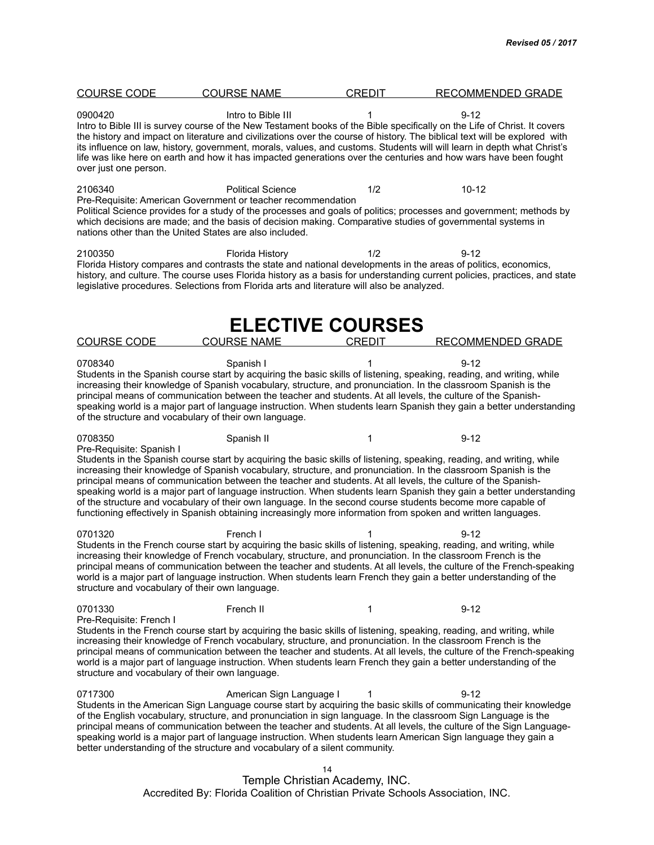| <b>COURSE CODE</b>                                                                    | <b>COURSE NAME</b>                                                                                                                                                                                                             | <b>CREDIT</b>           | <b>RECOMMENDED GRADE</b>                                                                                                                                                                                                                                                                                                                                                                                                                                                                                           |
|---------------------------------------------------------------------------------------|--------------------------------------------------------------------------------------------------------------------------------------------------------------------------------------------------------------------------------|-------------------------|--------------------------------------------------------------------------------------------------------------------------------------------------------------------------------------------------------------------------------------------------------------------------------------------------------------------------------------------------------------------------------------------------------------------------------------------------------------------------------------------------------------------|
| 0900420<br>over just one person.                                                      | Intro to Bible III                                                                                                                                                                                                             | 1                       | $9 - 12$<br>Intro to Bible III is survey course of the New Testament books of the Bible specifically on the Life of Christ. It covers<br>the history and impact on literature and civilizations over the course of history. The biblical text will be explored with<br>its influence on law, history, government, morals, values, and customs. Students will will learn in depth what Christ's<br>life was like here on earth and how it has impacted generations over the centuries and how wars have been fought |
| 2106340<br>nations other than the United States are also included.                    | <b>Political Science</b><br>Pre-Requisite: American Government or teacher recommendation<br>which decisions are made; and the basis of decision making. Comparative studies of governmental systems in                         | 1/2                     | $10 - 12$<br>Political Science provides for a study of the processes and goals of politics; processes and government; methods by                                                                                                                                                                                                                                                                                                                                                                                   |
| 2100350                                                                               | <b>Florida History</b><br>legislative procedures. Selections from Florida arts and literature will also be analyzed.                                                                                                           | 1/2                     | $9 - 12$<br>Florida History compares and contrasts the state and national developments in the areas of politics, economics,<br>history, and culture. The course uses Florida history as a basis for understanding current policies, practices, and state                                                                                                                                                                                                                                                           |
|                                                                                       |                                                                                                                                                                                                                                | <b>ELECTIVE COURSES</b> |                                                                                                                                                                                                                                                                                                                                                                                                                                                                                                                    |
| <b>COURSE CODE</b>                                                                    | <b>COURSE NAME</b>                                                                                                                                                                                                             | <b>CREDIT</b>           | <b>RECOMMENDED GRADE</b>                                                                                                                                                                                                                                                                                                                                                                                                                                                                                           |
| 0708340<br>of the structure and vocabulary of their own language.                     | Spanish I<br>principal means of communication between the teacher and students. At all levels, the culture of the Spanish-                                                                                                     |                         | $9 - 12$<br>Students in the Spanish course start by acquiring the basic skills of listening, speaking, reading, and writing, while<br>increasing their knowledge of Spanish vocabulary, structure, and pronunciation. In the classroom Spanish is the<br>speaking world is a major part of language instruction. When students learn Spanish they gain a better understanding                                                                                                                                      |
| 0708350                                                                               | Spanish II                                                                                                                                                                                                                     | 1                       | $9 - 12$                                                                                                                                                                                                                                                                                                                                                                                                                                                                                                           |
| Pre-Requisite: Spanish I                                                              | principal means of communication between the teacher and students. At all levels, the culture of the Spanish-<br>functioning effectively in Spanish obtaining increasingly more information from spoken and written languages. |                         | Students in the Spanish course start by acquiring the basic skills of listening, speaking, reading, and writing, while<br>increasing their knowledge of Spanish vocabulary, structure, and pronunciation. In the classroom Spanish is the<br>speaking world is a major part of language instruction. When students learn Spanish they gain a better understanding<br>of the structure and vocabulary of their own language. In the second course students become more capable of                                   |
| 0701320<br>structure and vocabulary of their own language.                            | French I<br>increasing their knowledge of French vocabulary, structure, and pronunciation. In the classroom French is the                                                                                                      |                         | $9 - 12$<br>Students in the French course start by acquiring the basic skills of listening, speaking, reading, and writing, while<br>principal means of communication between the teacher and students. At all levels, the culture of the French-speaking<br>world is a major part of language instruction. When students learn French they gain a better understanding of the                                                                                                                                     |
| 0701330<br>Pre-Requisite: French I<br>structure and vocabulary of their own language. | French II<br>increasing their knowledge of French vocabulary, structure, and pronunciation. In the classroom French is the                                                                                                     | 1                       | $9 - 12$<br>Students in the French course start by acquiring the basic skills of listening, speaking, reading, and writing, while<br>principal means of communication between the teacher and students. At all levels, the culture of the French-speaking<br>world is a major part of language instruction. When students learn French they gain a better understanding of the                                                                                                                                     |
| 0717300                                                                               | American Sign Language I<br>better understanding of the structure and vocabulary of a silent community.                                                                                                                        |                         | $9 - 12$<br>Students in the American Sign Language course start by acquiring the basic skills of communicating their knowledge<br>of the English vocabulary, structure, and pronunciation in sign language. In the classroom Sign Language is the<br>principal means of communication between the teacher and students. At all levels, the culture of the Sign Language-<br>speaking world is a major part of language instruction. When students learn American Sign language they gain a                         |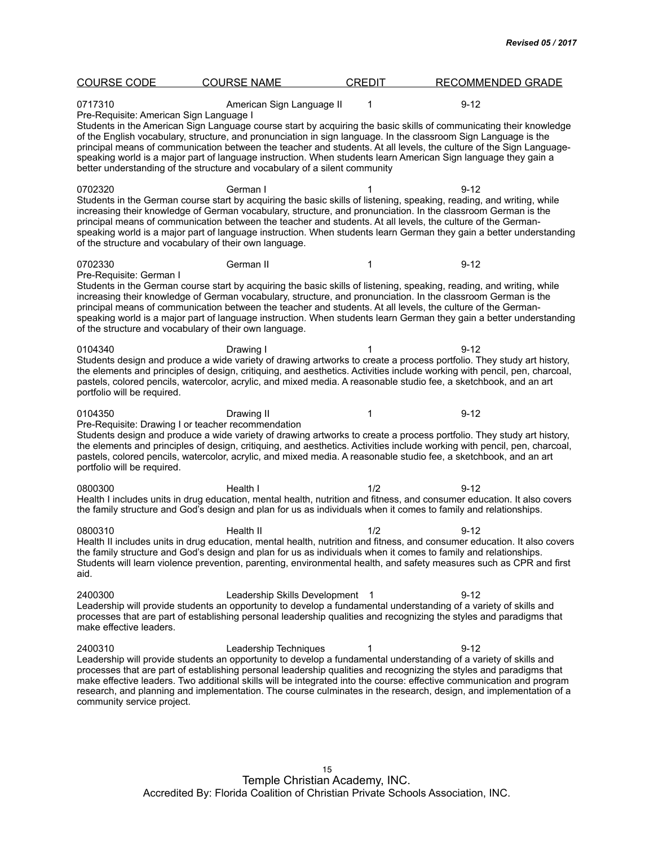| <b>COURSE CODE</b>                                                                           | <b>COURSE NAME</b>                                                         | <b>CREDIT</b> | <b>RECOMMENDED GRADE</b>                                                                                                                                                                                                                                                                                                                                                                                                                                                                           |  |
|----------------------------------------------------------------------------------------------|----------------------------------------------------------------------------|---------------|----------------------------------------------------------------------------------------------------------------------------------------------------------------------------------------------------------------------------------------------------------------------------------------------------------------------------------------------------------------------------------------------------------------------------------------------------------------------------------------------------|--|
| 0717310<br>Pre-Requisite: American Sign Language I                                           | American Sign Language II                                                  | 1             | $9 - 12$                                                                                                                                                                                                                                                                                                                                                                                                                                                                                           |  |
|                                                                                              | better understanding of the structure and vocabulary of a silent community |               | Students in the American Sign Language course start by acquiring the basic skills of communicating their knowledge<br>of the English vocabulary, structure, and pronunciation in sign language. In the classroom Sign Language is the<br>principal means of communication between the teacher and students. At all levels, the culture of the Sign Language-<br>speaking world is a major part of language instruction. When students learn American Sign language they gain a                     |  |
| 0702320<br>of the structure and vocabulary of their own language.                            | German I                                                                   |               | $9 - 12$<br>Students in the German course start by acquiring the basic skills of listening, speaking, reading, and writing, while<br>increasing their knowledge of German vocabulary, structure, and pronunciation. In the classroom German is the<br>principal means of communication between the teacher and students. At all levels, the culture of the German-<br>speaking world is a major part of language instruction. When students learn German they gain a better understanding          |  |
| 0702330                                                                                      | German II                                                                  | 1             | $9 - 12$                                                                                                                                                                                                                                                                                                                                                                                                                                                                                           |  |
| Pre-Requisite: German I<br>of the structure and vocabulary of their own language.            |                                                                            |               | Students in the German course start by acquiring the basic skills of listening, speaking, reading, and writing, while<br>increasing their knowledge of German vocabulary, structure, and pronunciation. In the classroom German is the<br>principal means of communication between the teacher and students. At all levels, the culture of the German-<br>speaking world is a major part of language instruction. When students learn German they gain a better understanding                      |  |
| 0104340<br>portfolio will be required.                                                       | Drawing I                                                                  |               | $9 - 12$<br>Students design and produce a wide variety of drawing artworks to create a process portfolio. They study art history,<br>the elements and principles of design, critiquing, and aesthetics. Activities include working with pencil, pen, charcoal,<br>pastels, colored pencils, watercolor, acrylic, and mixed media. A reasonable studio fee, a sketchbook, and an art                                                                                                                |  |
| 0104350<br>Pre-Requisite: Drawing I or teacher recommendation<br>portfolio will be required. | Drawing II                                                                 | 1             | $9 - 12$<br>Students design and produce a wide variety of drawing artworks to create a process portfolio. They study art history,<br>the elements and principles of design, critiquing, and aesthetics. Activities include working with pencil, pen, charcoal,<br>pastels, colored pencils, watercolor, acrylic, and mixed media. A reasonable studio fee, a sketchbook, and an art                                                                                                                |  |
| 0800300                                                                                      | Health I                                                                   | 1/2           | $9 - 12$<br>Health I includes units in drug education, mental health, nutrition and fitness, and consumer education. It also covers<br>the family structure and God's design and plan for us as individuals when it comes to family and relationships.                                                                                                                                                                                                                                             |  |
| 0800310<br>aid.                                                                              | Health II                                                                  | 1/2           | 9-12<br>Health II includes units in drug education, mental health, nutrition and fitness, and consumer education. It also covers<br>the family structure and God's design and plan for us as individuals when it comes to family and relationships.<br>Students will learn violence prevention, parenting, environmental health, and safety measures such as CPR and first                                                                                                                         |  |
| 2400300<br>make effective leaders.                                                           | Leadership Skills Development 1                                            |               | $9 - 12$<br>Leadership will provide students an opportunity to develop a fundamental understanding of a variety of skills and<br>processes that are part of establishing personal leadership qualities and recognizing the styles and paradigms that                                                                                                                                                                                                                                               |  |
| 2400310<br>community service project.                                                        | Leadership Techniques                                                      | 1             | $9 - 12$<br>Leadership will provide students an opportunity to develop a fundamental understanding of a variety of skills and<br>processes that are part of establishing personal leadership qualities and recognizing the styles and paradigms that<br>make effective leaders. Two additional skills will be integrated into the course: effective communication and program<br>research, and planning and implementation. The course culminates in the research, design, and implementation of a |  |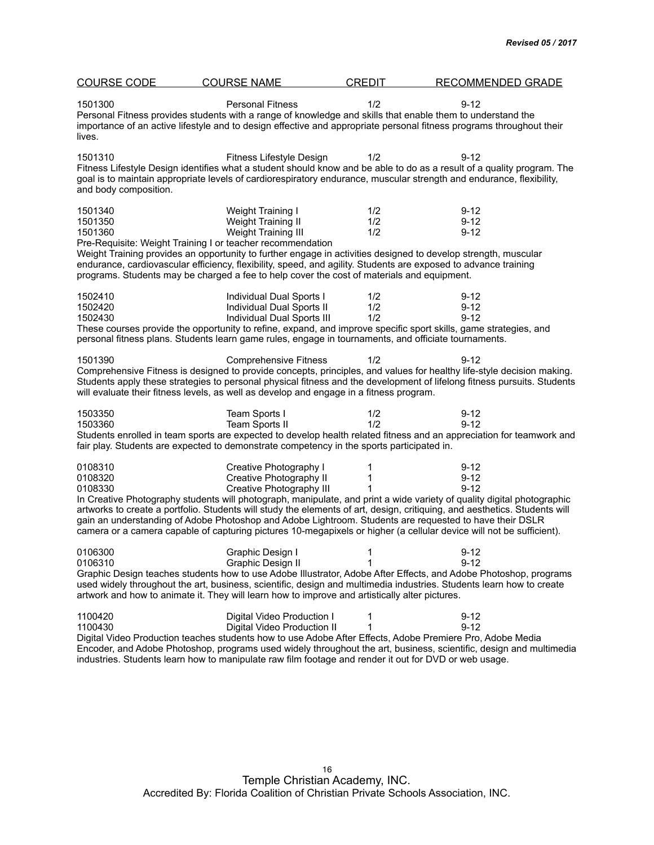| <b>COURSE CODE</b>               | <b>COURSE NAME</b>                                                                                                                                                                                                                                                                                                                                                                                                                                              | <b>CREDIT</b>     | <b>RECOMMENDED GRADE</b>                                                                                                                                                                                                                                                                                                                                                                                         |
|----------------------------------|-----------------------------------------------------------------------------------------------------------------------------------------------------------------------------------------------------------------------------------------------------------------------------------------------------------------------------------------------------------------------------------------------------------------------------------------------------------------|-------------------|------------------------------------------------------------------------------------------------------------------------------------------------------------------------------------------------------------------------------------------------------------------------------------------------------------------------------------------------------------------------------------------------------------------|
| 1501300<br>lives.                | <b>Personal Fitness</b><br>Personal Fitness provides students with a range of knowledge and skills that enable them to understand the                                                                                                                                                                                                                                                                                                                           | 1/2               | $9 - 12$<br>importance of an active lifestyle and to design effective and appropriate personal fitness programs throughout their                                                                                                                                                                                                                                                                                 |
| 1501310<br>and body composition. | Fitness Lifestyle Design                                                                                                                                                                                                                                                                                                                                                                                                                                        | 1/2               | $9 - 12$<br>Fitness Lifestyle Design identifies what a student should know and be able to do as a result of a quality program. The<br>goal is to maintain appropriate levels of cardiorespiratory endurance, muscular strength and endurance, flexibility,                                                                                                                                                       |
| 1501340<br>1501350<br>1501360    | Weight Training I<br>Weight Training II<br>Weight Training III<br>Pre-Requisite: Weight Training I or teacher recommendation<br>Weight Training provides an opportunity to further engage in activities designed to develop strength, muscular<br>endurance, cardiovascular efficiency, flexibility, speed, and agility. Students are exposed to advance training<br>programs. Students may be charged a fee to help cover the cost of materials and equipment. | 1/2<br>1/2<br>1/2 | $9 - 12$<br>$9 - 12$<br>$9 - 12$                                                                                                                                                                                                                                                                                                                                                                                 |
| 1502410<br>1502420<br>1502430    | Individual Dual Sports I<br>Individual Dual Sports II<br>Individual Dual Sports III<br>personal fitness plans. Students learn game rules, engage in tournaments, and officiate tournaments.                                                                                                                                                                                                                                                                     | 1/2<br>1/2<br>1/2 | $9 - 12$<br>$9 - 12$<br>$9 - 12$<br>These courses provide the opportunity to refine, expand, and improve specific sport skills, game strategies, and                                                                                                                                                                                                                                                             |
| 1501390                          | <b>Comprehensive Fitness</b><br>will evaluate their fitness levels, as well as develop and engage in a fitness program.                                                                                                                                                                                                                                                                                                                                         | 1/2               | $9 - 12$<br>Comprehensive Fitness is designed to provide concepts, principles, and values for healthy life-style decision making.<br>Students apply these strategies to personal physical fitness and the development of lifelong fitness pursuits. Students                                                                                                                                                     |
| 1503350<br>1503360               | Team Sports I<br>Team Sports II<br>fair play. Students are expected to demonstrate competency in the sports participated in.                                                                                                                                                                                                                                                                                                                                    | 1/2<br>1/2        | $9 - 12$<br>$9 - 12$<br>Students enrolled in team sports are expected to develop health related fitness and an appreciation for teamwork and                                                                                                                                                                                                                                                                     |
| 0108310<br>0108320<br>0108330    | Creative Photography I<br>Creative Photography II<br>Creative Photography III<br>gain an understanding of Adobe Photoshop and Adobe Lightroom. Students are requested to have their DSLR                                                                                                                                                                                                                                                                        | 1<br>1<br>1       | $9 - 12$<br>$9 - 12$<br>$9 - 12$<br>In Creative Photography students will photograph, manipulate, and print a wide variety of quality digital photographic<br>artworks to create a portfolio. Students will study the elements of art, design, critiquing, and aesthetics. Students will<br>camera or a camera capable of capturing pictures 10-megapixels or higher (a cellular device will not be sufficient). |
| 0106300<br>0106310               | Graphic Design I<br>Graphic Design II<br>artwork and how to animate it. They will learn how to improve and artistically alter pictures.                                                                                                                                                                                                                                                                                                                         | 1<br>1            | $9 - 12$<br>$9 - 12$<br>Graphic Design teaches students how to use Adobe Illustrator, Adobe After Effects, and Adobe Photoshop, programs<br>used widely throughout the art, business, scientific, design and multimedia industries. Students learn how to create                                                                                                                                                 |
| 1100420<br>1100430               | Digital Video Production I<br>Digital Video Production II<br>Digital Video Production teaches students how to use Adobe After Effects, Adobe Premiere Pro, Adobe Media<br>industries. Students learn how to manipulate raw film footage and render it out for DVD or web usage.                                                                                                                                                                                 | 1<br>1            | $9 - 12$<br>$9 - 12$<br>Encoder, and Adobe Photoshop, programs used widely throughout the art, business, scientific, design and multimedia                                                                                                                                                                                                                                                                       |